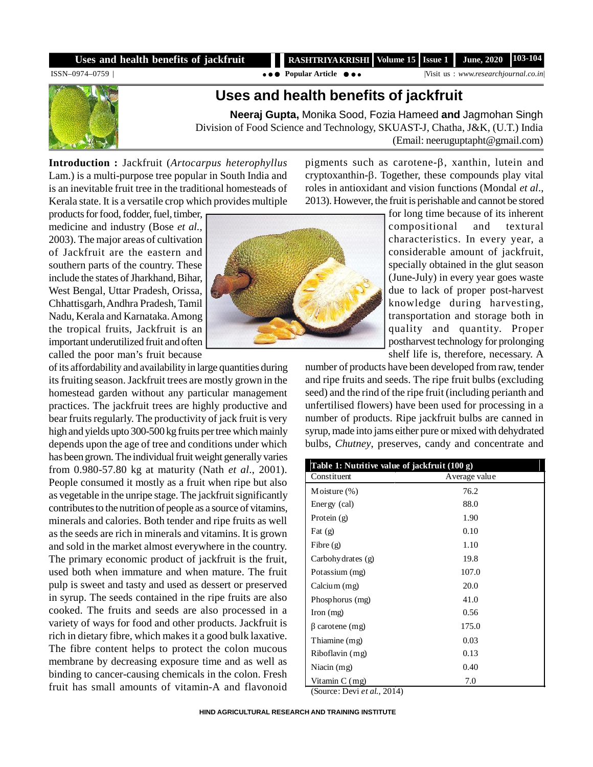## **Uses and health benefits of jackfruit**

 **RASHTRIYA KRISHI** Volume 15 Issue 1 June, 2020 103-104

ISSN–0974–0759 | **Popular Article** |Visit us : *www.researchjournal.co.in*|

## **Uses and health benefits of jackfruit**

**Neeraj Gupta,** Monika Sood, Fozia Hameed **and** Jagmohan Singh Division of Food Science and Technology, SKUAST-J, Chatha, J&K, (U.T.) India (Email: neeruguptapht@gmail.com)

**Introduction :** Jackfruit (*Artocarpus heterophyllus* Lam.) is a multi-purpose tree popular in South India and is an inevitable fruit tree in the traditional homesteads of Kerala state. It is a versatile crop which provides multiple pigments such as carotene- $\beta$ , xanthin, lutein and  $c$ ryptoxanthin- $\beta$ . Together, these compounds play vital roles in antioxidant and vision functions (Mondal *et al*., 2013). However, the fruit is perishable and cannot be stored

products for food, fodder, fuel, timber, medicine and industry (Bose *et al.*, 2003). The major areas of cultivation of Jackfruit are the eastern and southern parts of the country. These include the states of Jharkhand, Bihar, West Bengal, Uttar Pradesh, Orissa, Chhattisgarh, Andhra Pradesh, Tamil Nadu, Kerala and Karnataka. Among the tropical fruits, Jackfruit is an important underutilized fruit and often called the poor man's fruit because

of its affordability and availability in large quantities during its fruiting season. Jackfruit trees are mostly grown in the homestead garden without any particular management practices. The jackfruit trees are highly productive and bear fruits regularly. The productivity of jack fruit is very high and yields upto 300-500 kg fruits per tree which mainly depends upon the age of tree and conditions under which has been grown. The individual fruit weight generally varies from 0.980-57.80 kg at maturity (Nath *et al*., 2001). People consumed it mostly as a fruit when ripe but also as vegetable in the unripe stage. The jackfruit significantly contributes to the nutrition of people as a source of vitamins, minerals and calories. Both tender and ripe fruits as well as the seeds are rich in minerals and vitamins. It is grown and sold in the market almost everywhere in the country. The primary economic product of jackfruit is the fruit, used both when immature and when mature. The fruit pulp is sweet and tasty and used as dessert or preserved in syrup. The seeds contained in the ripe fruits are also cooked. The fruits and seeds are also processed in a variety of ways for food and other products. Jackfruit is rich in dietary fibre, which makes it a good bulk laxative. The fibre content helps to protect the colon mucous membrane by decreasing exposure time and as well as binding to cancer-causing chemicals in the colon. Fresh fruit has small amounts of vitamin-A and flavonoid



for long time because of its inherent compositional and textural characteristics. In every year, a considerable amount of jackfruit, specially obtained in the glut season (June-July) in every year goes waste due to lack of proper post-harvest knowledge during harvesting, transportation and storage both in quality and quantity. Proper postharvest technology for prolonging shelf life is, therefore, necessary. A

number of products have been developed from raw, tender and ripe fruits and seeds. The ripe fruit bulbs (excluding seed) and the rind of the ripe fruit (including perianth and unfertilised flowers) have been used for processing in a number of products. Ripe jackfruit bulbs are canned in syrup, made into jams either pure or mixed with dehydrated bulbs, *Chutney*, preserves, candy and concentrate and

| Table 1: Nutritive value of jackfruit (100 g) |               |  |
|-----------------------------------------------|---------------|--|
| Constituent                                   | Average value |  |
| Moisture $(\%)$                               | 76.2          |  |
| Energy (cal)                                  | 88.0          |  |
| Protein $(g)$                                 | 1.90          |  |
| Fat $(g)$                                     | 0.10          |  |
| Fibre $(g)$                                   | 1.10          |  |
| Carbohy drates (g)                            | 19.8          |  |
| Potassium (mg)                                | 107.0         |  |
| Calcium (mg)                                  | 20.0          |  |
| Phosphorus (mg)                               | 41.0          |  |
| Iron $(mg)$                                   | 0.56          |  |
| carotene (mg)                                 | 175.0         |  |
| Thiamine (mg)                                 | 0.03          |  |
| Riboflavin (mg)                               | 0.13          |  |
| Niacin $(mg)$                                 | 0.40          |  |
| Vitamin $C$ (mg)<br>.                         | 7.0           |  |

(Source: Devi *et al.*, 2014)